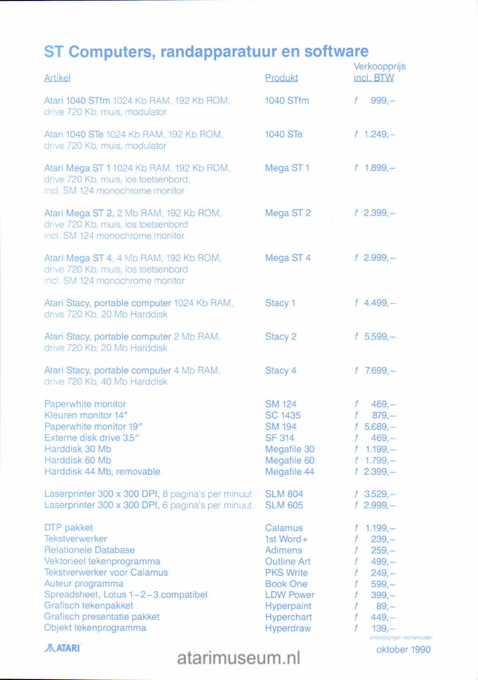## ST Computers, randapparatuur en software

| <b>Artikel</b>                                                                                                                                                                                                                                                                   | <b>Produkt</b>                                                                                                                                                   | Verkoopprijs<br>incl. BTW                                                                                                                                                                       |
|----------------------------------------------------------------------------------------------------------------------------------------------------------------------------------------------------------------------------------------------------------------------------------|------------------------------------------------------------------------------------------------------------------------------------------------------------------|-------------------------------------------------------------------------------------------------------------------------------------------------------------------------------------------------|
| Atari 1040 STfm 1024 Kb RAM, 192 Kb ROM,<br>drive 720 Kb, muis, modulator                                                                                                                                                                                                        | 1040 STfm                                                                                                                                                        | $999, -$<br>f                                                                                                                                                                                   |
| Atari 1040 STe 1024 Kb RAM, 192 Kb ROM,<br>drive 720 Kb, muis, modulator                                                                                                                                                                                                         | <b>1040 STe</b>                                                                                                                                                  | $f$ 1.249, -                                                                                                                                                                                    |
| Atari Mega ST 1 1024 Kb RAM, 192 Kb ROM,<br>drive 720 Kb, muis, los toetsenbord,<br>incl. SM 124 monochrome monitor                                                                                                                                                              | Mega ST <sub>1</sub>                                                                                                                                             | $f$ 1.899, -                                                                                                                                                                                    |
| Atari Mega ST 2, 2 Mb RAM, 192 Kb ROM,<br>drive 720 Kb, muis, los toetsenbord<br>incl. SM 124 monochrome monitor                                                                                                                                                                 | Mega ST 2                                                                                                                                                        | $f$ 2.399, -                                                                                                                                                                                    |
| Atari Mega ST 4, 4 Mb RAM, 192 Kb ROM,<br>drive 720 Kb, muis, los toetsenbord<br>incl. SM 124 monochrome monitor                                                                                                                                                                 | Mega ST 4                                                                                                                                                        | $f$ 2.999, -                                                                                                                                                                                    |
| Atari Stacy, portable computer 1024 Kb RAM,<br>drive 720 Kb, 20 Mb Harddisk                                                                                                                                                                                                      | Stacy 1                                                                                                                                                          | $f$ 4.499, -                                                                                                                                                                                    |
| Atari Stacy, portable computer 2 Mb RAM,<br>drive 720 Kb, 20 Mb Harddisk                                                                                                                                                                                                         | Stacy 2                                                                                                                                                          | $f$ 5.599, -                                                                                                                                                                                    |
| Atari Stacy, portable computer 4 Mb RAM,<br>drive 720 Kb, 40 Mb Harddisk                                                                                                                                                                                                         | Stacy 4                                                                                                                                                          | $f$ 7.699, -                                                                                                                                                                                    |
| Paperwhite monitor<br>Kleuren monitor 14"<br>Paperwhite monitor 19"<br>Externe disk drive 3.5"<br>Harddisk 30 Mb<br>Harddisk 60 Mb<br>Harddisk 44 Mb, removable                                                                                                                  | <b>SM 124</b><br><b>SC 1435</b><br><b>SM 194</b><br><b>SF 314</b><br>Megafile 30<br>Megafile 60<br>Megafile 44                                                   | $469, -$<br>f<br>$879,-$<br>$5.689 -$<br>f<br>$469, -$<br>$1.199,-$<br>f<br>$f: 1.799, -$<br>$f$ 2.399, -                                                                                       |
| Laserprinter 300 x 300 DPI, 8 pagina's per minuut<br>Laserprinter 300 x 300 DPI, 6 pagina's per minuut                                                                                                                                                                           | <b>SLM 804</b><br><b>SLM 605</b>                                                                                                                                 | $f$ 3.529, -<br>$f$ 2.999, -                                                                                                                                                                    |
| DTP pakket<br><b>Tekstverwerker</b><br><b>Relationele Database</b><br>Vektorieel tekenprogramma<br><b>Tekstverwerker voor Calamus</b><br>Auteur programma<br>Spreadsheet, Lotus 1-2-3 compatibel<br>Grafisch tekenpakket<br>Grafisch presentatie pakket<br>Objekt tekenprogramma | Calamus<br>1st Word+<br><b>Adimens</b><br><b>Outline Art</b><br><b>PKS Write</b><br><b>Book One</b><br><b>LDW Power</b><br>Hyperpaint<br>Hyperchart<br>Hyperdraw | $1.199,-$<br>$239,-$<br>f<br>f<br>$259,-$<br>$499, -$<br>f<br>$249, -$<br>f<br>f<br>$599, -$<br>f<br>$399, -$<br>f<br>$89, -$<br>$449, -$<br>f<br>f<br>$139, -$<br>prijswijzigingen voorbehoude |

**JILATARI** 

atarimuseum.nl

oktober 1990